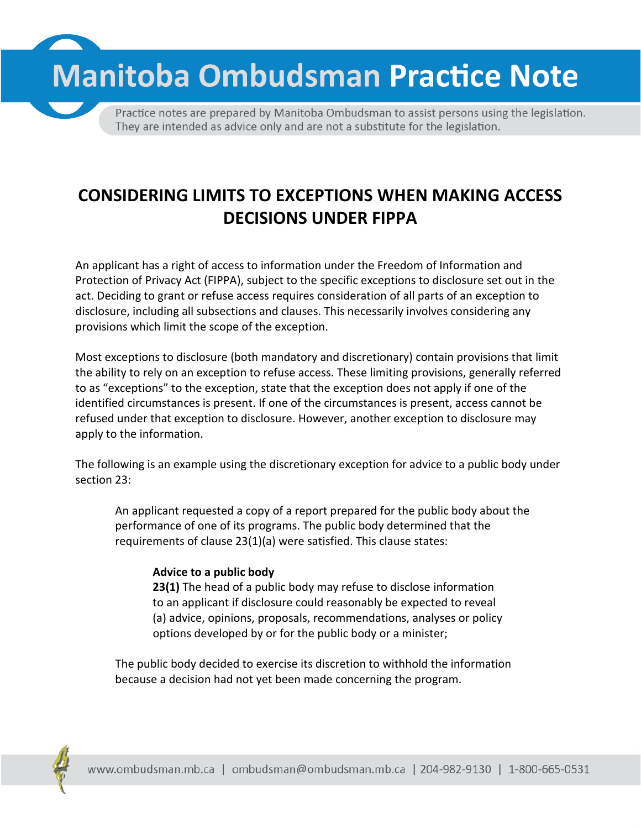**Manitoba Ombudsman Practice Note** 

Practice notes are prepared by Manitoba Ombudsman to assist persons using the legislation. They are intended as advice only and are not a substitute for the legislation.

# **CONSIDERING LIMITS TO EXCEPTIONS WHEN MAKING ACCESS DECISIONS UNDER FIPPA**

An applicant has a right of access to information under the Freedom of Information and Protection of Privacy Act (FIPPA), subject to the specific exceptions to disclosure set out in the act. Deciding to grant or refuse access requires consideration of all parts of an exception to disclosure, including all subsections and clauses. This necessarily involves considering any provisions which limit the scope of the exception.

Most exceptions to disclosure (both mandatory and discretionary) contain provisions that limit the ability to rely on an exception to refuse access. These limiting provisions, generally referred to as "exceptions" to the exception, state that the exception does not apply if one of the identified circumstances is present. If one of the circumstances is present, access cannot be refused under that exception to disclosure. However, another exception to disclosure may apply to the information.

The following is an example using the discretionary exception for advice to a public body under section 23:

An applicant requested a copy of a report prepared for the public body about the performance of one of its programs. The public body determined that the requirements of clause 23(1)(a) were satisfied. This clause states:

#### **Advice to a public body**

**23(1)** The head of a public body may refuse to disclose information to an applicant if disclosure could reasonably be expected to reveal (a) advice, opinions, proposals, recommendations, analyses or policy options developed by or for the public body or a minister;

The public body decided to exercise its discretion to withhold the information because a decision had not yet been made concerning the program.

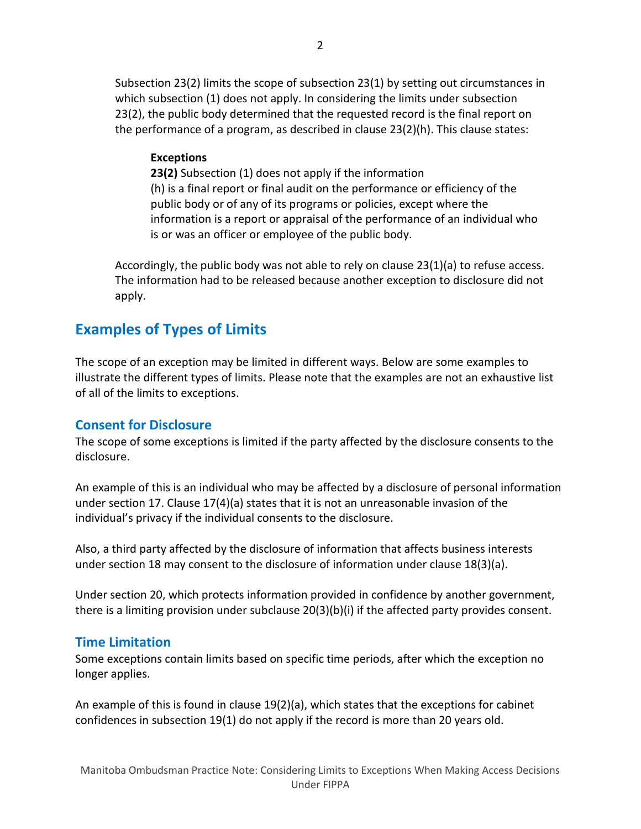Subsection 23(2) limits the scope of subsection 23(1) by setting out circumstances in which subsection (1) does not apply. In considering the limits under subsection 23(2), the public body determined that the requested record is the final report on the performance of a program, as described in clause 23(2)(h). This clause states:

#### **Exceptions**

**23(2)** Subsection (1) does not apply if the information (h) is a final report or final audit on the performance or efficiency of the public body or of any of its programs or policies, except where the information is a report or appraisal of the performance of an individual who is or was an officer or employee of the public body.

Accordingly, the public body was not able to rely on clause 23(1)(a) to refuse access. The information had to be released because another exception to disclosure did not apply.

# **Examples of Types of Limits**

The scope of an exception may be limited in different ways. Below are some examples to illustrate the different types of limits. Please note that the examples are not an exhaustive list of all of the limits to exceptions.

### **Consent for Disclosure**

The scope of some exceptions is limited if the party affected by the disclosure consents to the disclosure.

An example of this is an individual who may be affected by a disclosure of personal information under section 17. Clause 17(4)(a) states that it is not an unreasonable invasion of the individual's privacy if the individual consents to the disclosure.

Also, a third party affected by the disclosure of information that affects business interests under section 18 may consent to the disclosure of information under clause 18(3)(a).

Under section 20, which protects information provided in confidence by another government, there is a limiting provision under subclause 20(3)(b)(i) if the affected party provides consent.

#### **Time Limitation**

Some exceptions contain limits based on specific time periods, after which the exception no longer applies.

An example of this is found in clause 19(2)(a), which states that the exceptions for cabinet confidences in subsection 19(1) do not apply if the record is more than 20 years old.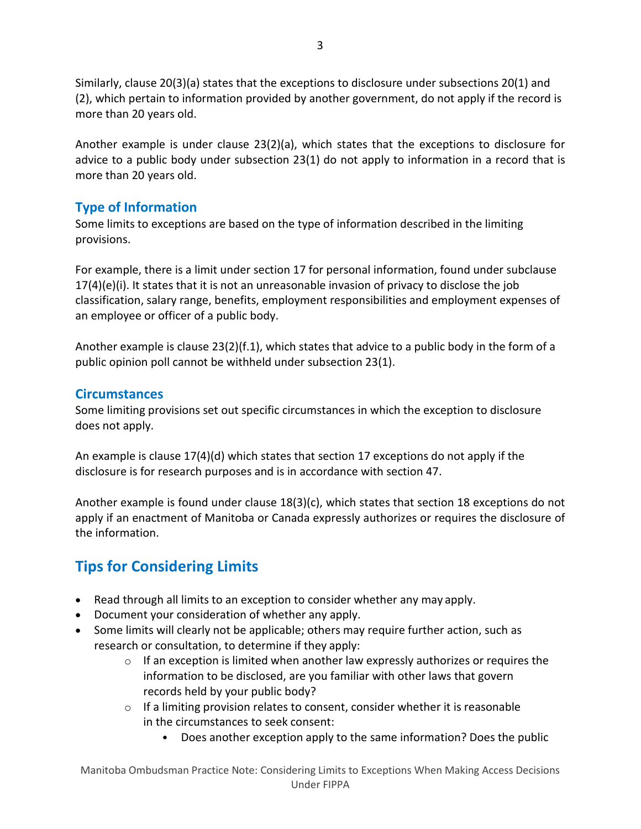Similarly, clause 20(3)(a) states that the exceptions to disclosure under subsections 20(1) and (2), which pertain to information provided by another government, do not apply if the record is more than 20 years old.

Another example is under clause 23(2)(a), which states that the exceptions to disclosure for advice to a public body under subsection 23(1) do not apply to information in a record that is more than 20 years old.

## **Type of Information**

Some limits to exceptions are based on the type of information described in the limiting provisions.

For example, there is a limit under section 17 for personal information, found under subclause  $17(4)(e)(i)$ . It states that it is not an unreasonable invasion of privacy to disclose the job classification, salary range, benefits, employment responsibilities and employment expenses of an employee or officer of a public body.

Another example is clause 23(2)(f.1), which states that advice to a public body in the form of a public opinion poll cannot be withheld under subsection 23(1).

### **Circumstances**

Some limiting provisions set out specific circumstances in which the exception to disclosure does not apply.

An example is clause 17(4)(d) which states that section 17 exceptions do not apply if the disclosure is for research purposes and is in accordance with section 47.

Another example is found under clause 18(3)(c), which states that section 18 exceptions do not apply if an enactment of Manitoba or Canada expressly authorizes or requires the disclosure of the information.

# **Tips for Considering Limits**

- Read through all limits to an exception to consider whether any may apply.
- Document your consideration of whether any apply.
- Some limits will clearly not be applicable; others may require further action, such as research or consultation, to determine if they apply:
	- $\circ$  If an exception is limited when another law expressly authorizes or requires the information to be disclosed, are you familiar with other laws that govern records held by your public body?
	- $\circ$  If a limiting provision relates to consent, consider whether it is reasonable in the circumstances to seek consent:
		- Does another exception apply to the same information? Does the public